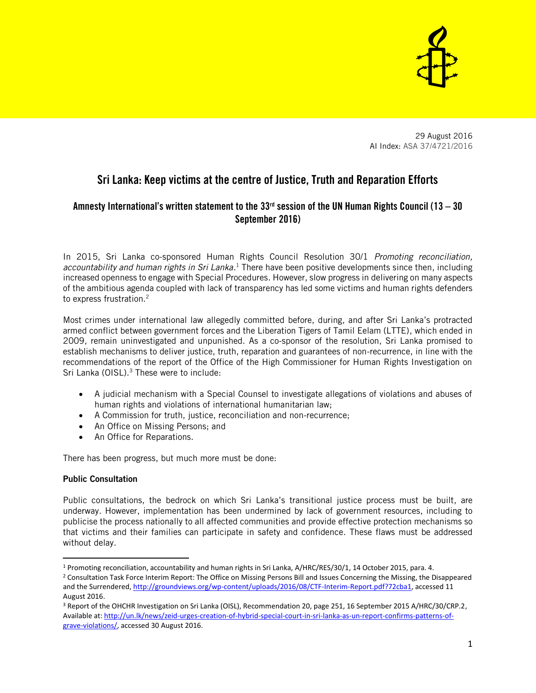

29 August 2016 AI Index: ASA 37/4721/2016

# Sri Lanka: Keep victims at the centre of Justice, Truth and Reparation Efforts

# Amnesty International's written statement to the 33 $<sup>rd</sup>$  session of the UN Human Rights Council (13 – 30</sup> September 2016)

In 2015, Sri Lanka co-sponsored Human Rights Council Resolution 30/1 *Promoting reconciliation, accountability and human rights in Sri Lanka.* <sup>1</sup> There have been positive developments since then, including increased openness to engage with Special Procedures. However, slow progress in delivering on many aspects of the ambitious agenda coupled with lack of transparency has led some victims and human rights defenders to express frustration.<sup>2</sup>

Most crimes under international law allegedly committed before, during, and after Sri Lanka's protracted armed conflict between government forces and the Liberation Tigers of Tamil Eelam (LTTE), which ended in 2009, remain uninvestigated and unpunished. As a co-sponsor of the resolution, Sri Lanka promised to establish mechanisms to deliver justice, truth, reparation and guarantees of non-recurrence, in line with the recommendations of the report of the Office of the High Commissioner for Human Rights Investigation on Sri Lanka (OISL).<sup>3</sup> These were to include:

- A judicial mechanism with a Special Counsel to investigate allegations of violations and abuses of human rights and violations of international humanitarian law;
- A Commission for truth, justice, reconciliation and non-recurrence;
- An Office on Missing Persons; and
- An Office for Reparations.

There has been progress, but much more must be done:

### Public Consultation

l

Public consultations, the bedrock on which Sri Lanka's transitional justice process must be built, are underway. However, implementation has been undermined by lack of government resources, including to publicise the process nationally to all affected communities and provide effective protection mechanisms so that victims and their families can participate in safety and confidence. These flaws must be addressed without delay.

<sup>1</sup> Promoting reconciliation, accountability and human rights in Sri Lanka, A/HRC/RES/30/1, 14 October 2015, para. 4.

<sup>2</sup> Consultation Task Force Interim Report: The Office on Missing Persons Bill and Issues Concerning the Missing, the Disappeared and the Surrendered[, http://groundviews.org/wp-content/uploads/2016/08/CTF-Interim-Report.pdf?72cba1,](http://groundviews.org/wp-content/uploads/2016/08/CTF-Interim-Report.pdf?72cba1) accessed 11 August 2016.

<sup>&</sup>lt;sup>3</sup> Report of the OHCHR Investigation on Sri Lanka (OISL), Recommendation 20, page 251, 16 September 2015 A/HRC/30/CRP.2, Available at[: http://un.lk/news/zeid-urges-creation-of-hybrid-special-court-in-sri-lanka-as-un-report-confirms-patterns-of](http://un.lk/news/zeid-urges-creation-of-hybrid-special-court-in-sri-lanka-as-un-report-confirms-patterns-of-grave-violations/)[grave-violations/,](http://un.lk/news/zeid-urges-creation-of-hybrid-special-court-in-sri-lanka-as-un-report-confirms-patterns-of-grave-violations/) accessed 30 August 2016.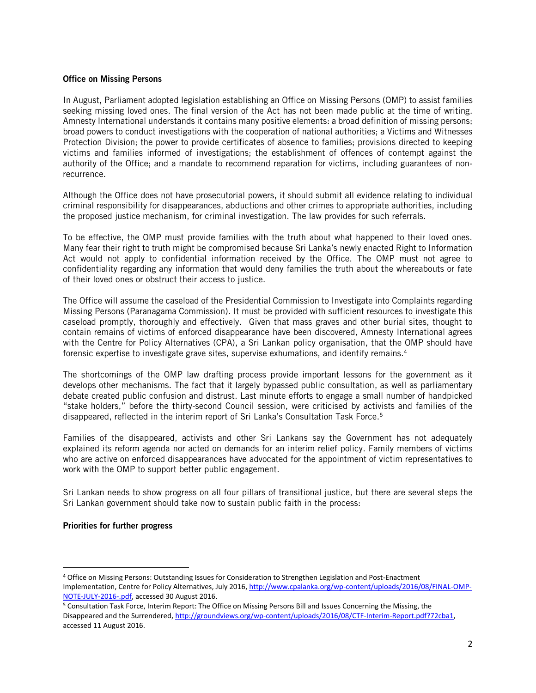#### Office on Missing Persons

In August, Parliament adopted legislation establishing an Office on Missing Persons (OMP) to assist families seeking missing loved ones. The final version of the Act has not been made public at the time of writing. Amnesty International understands it contains many positive elements: a broad definition of missing persons; broad powers to conduct investigations with the cooperation of national authorities; a Victims and Witnesses Protection Division; the power to provide certificates of absence to families; provisions directed to keeping victims and families informed of investigations; the establishment of offences of contempt against the authority of the Office; and a mandate to recommend reparation for victims, including guarantees of nonrecurrence.

Although the Office does not have prosecutorial powers, it should submit all evidence relating to individual criminal responsibility for disappearances, abductions and other crimes to appropriate authorities, including the proposed justice mechanism, for criminal investigation. The law provides for such referrals.

To be effective, the OMP must provide families with the truth about what happened to their loved ones. Many fear their right to truth might be compromised because Sri Lanka's newly enacted Right to Information Act would not apply to confidential information received by the Office. The OMP must not agree to confidentiality regarding any information that would deny families the truth about the whereabouts or fate of their loved ones or obstruct their access to justice.

The Office will assume the caseload of the Presidential Commission to Investigate into Complaints regarding Missing Persons (Paranagama Commission). It must be provided with sufficient resources to investigate this caseload promptly, thoroughly and effectively. Given that mass graves and other burial sites, thought to contain remains of victims of enforced disappearance have been discovered, Amnesty International agrees with the Centre for Policy Alternatives (CPA), a Sri Lankan policy organisation, that the OMP should have forensic expertise to investigate grave sites, supervise exhumations, and identify remains.<sup>4</sup>

The shortcomings of the OMP law drafting process provide important lessons for the government as it develops other mechanisms. The fact that it largely bypassed public consultation, as well as parliamentary debate created public confusion and distrust. Last minute efforts to engage a small number of handpicked "stake holders," before the thirty-second Council session, were criticised by activists and families of the disappeared, reflected in the interim report of Sri Lanka's Consultation Task Force. 5

Families of the disappeared, activists and other Sri Lankans say the Government has not adequately explained its reform agenda nor acted on demands for an interim relief policy. Family members of victims who are active on enforced disappearances have advocated for the appointment of victim representatives to work with the OMP to support better public engagement.

Sri Lankan needs to show progress on all four pillars of transitional justice, but there are several steps the Sri Lankan government should take now to sustain public faith in the process:

#### Priorities for further progress

 $\overline{\phantom{a}}$ 

<sup>4</sup> Office on Missing Persons: Outstanding Issues for Consideration to Strengthen Legislation and Post-Enactment Implementation, Centre for Policy Alternatives, July 2016[, http://www.cpalanka.org/wp-content/uploads/2016/08/FINAL-OMP-](http://www.cpalanka.org/wp-content/uploads/2016/08/FINAL-OMP-NOTE-JULY-2016-.pdf)[NOTE-JULY-2016-.pdf,](http://www.cpalanka.org/wp-content/uploads/2016/08/FINAL-OMP-NOTE-JULY-2016-.pdf) accessed 30 August 2016.

<sup>5</sup> Consultation Task Force, Interim Report: The Office on Missing Persons Bill and Issues Concerning the Missing, the Disappeared and the Surrendered[, http://groundviews.org/wp-content/uploads/2016/08/CTF-Interim-Report.pdf?72cba1,](http://groundviews.org/wp-content/uploads/2016/08/CTF-Interim-Report.pdf?72cba1)  accessed 11 August 2016.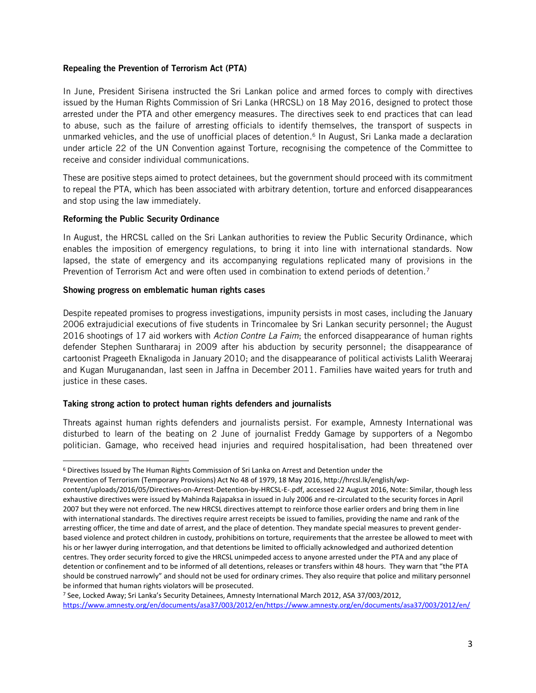#### Repealing the Prevention of Terrorism Act (PTA)

In June, President Sirisena instructed the Sri Lankan police and armed forces to comply with directives issued by the Human Rights Commission of Sri Lanka (HRCSL) on 18 May 2016, designed to protect those arrested under the PTA and other emergency measures. The directives seek to end practices that can lead to abuse, such as the failure of arresting officials to identify themselves, the transport of suspects in unmarked vehicles, and the use of unofficial places of detention. 6 In August, Sri Lanka made a declaration under article 22 of the UN Convention against Torture, recognising the competence of the Committee to receive and consider individual communications.

These are positive steps aimed to protect detainees, but the government should proceed with its commitment to repeal the PTA, which has been associated with arbitrary detention, torture and enforced disappearances and stop using the law immediately.

#### Reforming the Public Security Ordinance

l

In August, the HRCSL called on the Sri Lankan authorities to review the Public Security Ordinance, which enables the imposition of emergency regulations, to bring it into line with international standards. Now lapsed, the state of emergency and its accompanying regulations replicated many of provisions in the Prevention of Terrorism Act and were often used in combination to extend periods of detention.<sup>7</sup>

#### Showing progress on emblematic human rights cases

Despite repeated promises to progress investigations, impunity persists in most cases, including the January 2006 extrajudicial executions of five students in Trincomalee by Sri Lankan security personnel; the August 2016 shootings of 17 aid workers with *Action Contre La Faim*; the enforced disappearance of human rights defender Stephen Sunthararaj in 2009 after his abduction by security personnel; the disappearance of cartoonist Prageeth Eknaligoda in January 2010; and the disappearance of political activists Lalith Weeraraj and Kugan Muruganandan, last seen in Jaffna in December 2011. Families have waited years for truth and justice in these cases.

#### Taking strong action to protect human rights defenders and journalists

Threats against human rights defenders and journalists persist. For example, Amnesty International was disturbed to learn of the beating on 2 June of journalist Freddy Gamage by supporters of a Negombo politician. Gamage, who received head injuries and required hospitalisation, had been threatened over

<sup>7</sup> See, Locked Away; Sri Lanka's Security Detainees, Amnesty International March 2012, ASA 37/003/2012, [https://www.amnesty.org/en/documents/asa37/003/2012/en/h](https://www.amnesty.org/en/documents/asa37/003/2012/en/)ttps://www.amnesty.org/en/documents/asa37/003/2012/en/

<sup>6</sup> Directives Issued by The Human Rights Commission of Sri Lanka on Arrest and Detention under the

Prevention of Terrorism (Temporary Provisions) Act No 48 of 1979, 18 May 2016, http://hrcsl.lk/english/wp-

content/uploads/2016/05/Directives-on-Arrest-Detention-by-HRCSL-E-.pdf, accessed 22 August 2016, Note: Similar, though less exhaustive directives were issued by Mahinda Rajapaksa in issued in July 2006 and re-circulated to the security forces in April 2007 but they were not enforced. The new HRCSL directives attempt to reinforce those earlier orders and bring them in line with international standards. The directives require arrest receipts be issued to families, providing the name and rank of the arresting officer, the time and date of arrest, and the place of detention. They mandate special measures to prevent genderbased violence and protect children in custody, prohibitions on torture, requirements that the arrestee be allowed to meet with his or her lawyer during interrogation, and that detentions be limited to officially acknowledged and authorized detention centres. They order security forced to give the HRCSL unimpeded access to anyone arrested under the PTA and any place of detention or confinement and to be informed of all detentions, releases or transfers within 48 hours. They warn that "the PTA should be construed narrowly" and should not be used for ordinary crimes. They also require that police and military personnel be informed that human rights violators will be prosecuted.